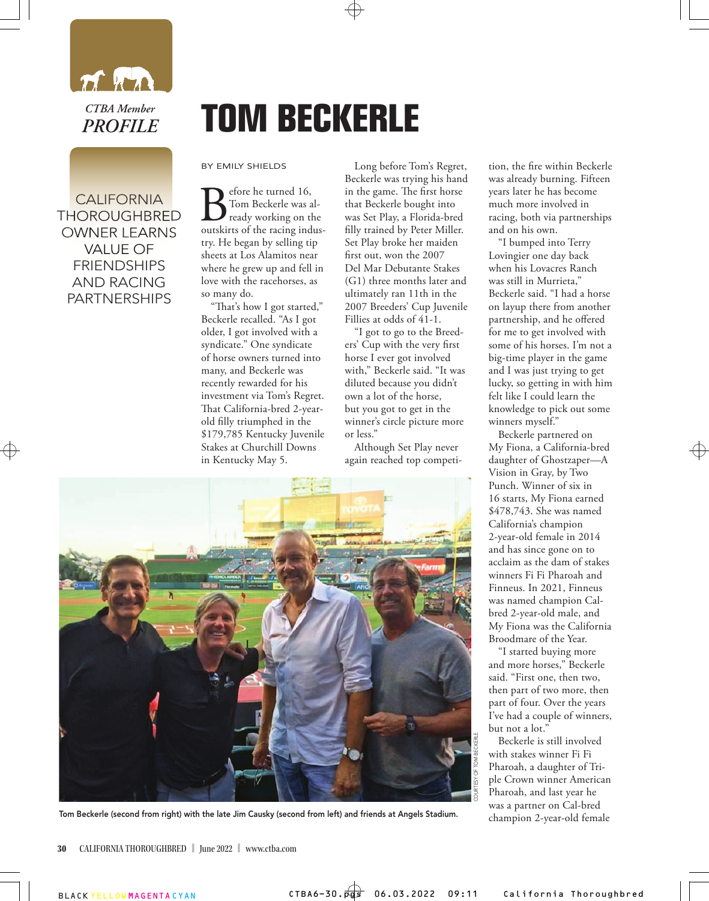

CALIFORNIA CALIFORNIA THOROUGHBRED THOROUGHBRED OWNER LEARNS OWNER LEARNS VALUE OF VALUE OF FRIENDSHIPS AND RACING PARTNERSHIPS

## **TOM BECKERLE**

BY EMILY SHIELDS

**B** fore he turned 16,<br>
ready working on the<br>
outskirts of the racing indus-Tom Beckerle was already working on the try. He began by selling tip sheets at Los Alamitos near where he grew up and fell in love with the racehorses, as so many do.

"That's how I got started," Beckerle recalled. "As I got older, I got involved with a syndicate." One syndicate of horse owners turned into many, and Beckerle was recently rewarded for his investment via Tom's Regret. That California-bred 2-yearold filly triumphed in the \$179,785 Kentucky Juvenile Stakes at Churchill Downs in Kentucky May 5.

Long before Tom's Regret, Beckerle was trying his hand in the game. The first horse that Beckerle bought into was Set Play, a Florida-bred filly trained by Peter Miller. Set Play broke her maiden first out, won the 2007 Del Mar Debutante Stakes (G1) three months later and ultimately ran 11th in the 2007 Breeders' Cup Juvenile Fillies at odds of 41-1.

"I got to go to the Breeders' Cup with the very first horse I ever got involved with," Beckerle said. "It was diluted because you didn't own a lot of the horse, but you got to get in the winner's circle picture more or less."

Although Set Play never again reached top competition, the fire within Beckerle was already burning. Fifteen years later he has become much more involved in racing, both via partnerships and on his own.

"I bumped into Terry Lovingier one day back when his Lovacres Ranch was still in Murrieta," Beckerle said. "I had a horse on layup there from another partnership, and he offered for me to get involved with some of his horses. I'm not a big-time player in the game and I was just trying to get lucky, so getting in with him felt like I could learn the knowledge to pick out some winners myself."

Beckerle partnered on My Fiona, a California-bred daughter of Ghostzaper—A Vision in Gray, by Two Punch. Winner of six in 16 starts, My Fiona earned \$478,743. She was named California's champion 2-year-old female in 2014 and has since gone on to acclaim as the dam of stakes winners Fi Fi Pharoah and Finneus. In 2021, Finneus was named champion Calbred 2-year-old male, and My Fiona was the California Broodmare of the Year.

"I started buying more and more horses," Beckerle said. "First one, then two, then part of two more, then part of four. Over the years I've had a couple of winners, but not a lot."

Beckerle is still involved with stakes winner Fi Fi Pharoah, a daughter of Triple Crown winner American Pharoah, and last year he was a partner on Cal-bred champion 2-year-old female



Tom Beckerle (second from right) with the late Jim Causky (second from left) and friends at Angels Stadium.